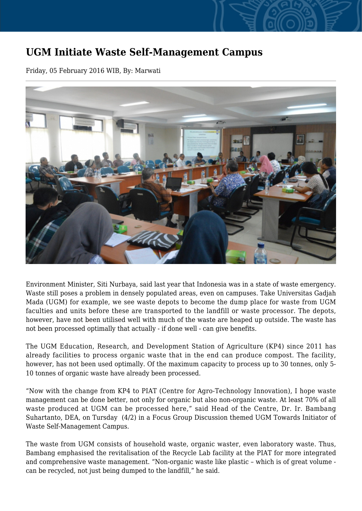## **UGM Initiate Waste Self-Management Campus**

Friday, 05 February 2016 WIB, By: Marwati



Environment Minister, Siti Nurbaya, said last year that Indonesia was in a state of waste emergency. Waste still poses a problem in densely populated areas, even on campuses. Take Universitas Gadjah Mada (UGM) for example, we see waste depots to become the dump place for waste from UGM faculties and units before these are transported to the landfill or waste processor. The depots, however, have not been utilised well with much of the waste are heaped up outside. The waste has not been processed optimally that actually - if done well - can give benefits.

The UGM Education, Research, and Development Station of Agriculture (KP4) since 2011 has already facilities to process organic waste that in the end can produce compost. The facility, however, has not been used optimally. Of the maximum capacity to process up to 30 tonnes, only 5- 10 tonnes of organic waste have already been processed.

"Now with the change from KP4 to PIAT (Centre for Agro-Technology Innovation), I hope waste management can be done better, not only for organic but also non-organic waste. At least 70% of all waste produced at UGM can be processed here," said Head of the Centre, Dr. Ir. Bambang Suhartanto, DEA, on Tursday (4/2) in a Focus Group Discussion themed UGM Towards Initiator of Waste Self-Management Campus.

The waste from UGM consists of household waste, organic waster, even laboratory waste. Thus, Bambang emphasised the revitalisation of the Recycle Lab facility at the PIAT for more integrated and comprehensive waste management. "Non-organic waste like plastic – which is of great volume can be recycled, not just being dumped to the landfill," he said.